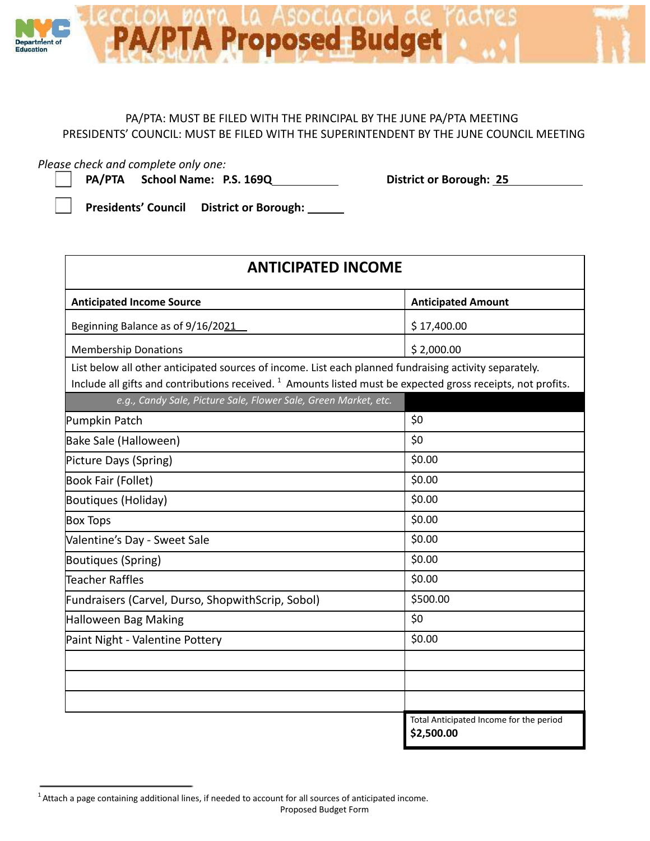

## PA/PTA: MUST BE FILED WITH THE PRINCIPAL BY THE JUNE PA/PTA MEETING PRESIDENTS' COUNCIL: MUST BE FILED WITH THE SUPERINTENDENT BY THE JUNE COUNCIL MEETING

*Please check and complete only one:*

**PA/PTA School Name: P.S. 169Q District or Borough: 25**

**Presidents' Council District or Borough:**

| <b>ANTICIPATED INCOME</b>                                                                                                                                                                                                         |                                                       |
|-----------------------------------------------------------------------------------------------------------------------------------------------------------------------------------------------------------------------------------|-------------------------------------------------------|
| <b>Anticipated Income Source</b>                                                                                                                                                                                                  | <b>Anticipated Amount</b>                             |
| Beginning Balance as of 9/16/2021                                                                                                                                                                                                 | \$17,400.00                                           |
| <b>Membership Donations</b>                                                                                                                                                                                                       | \$2,000.00                                            |
| List below all other anticipated sources of income. List each planned fundraising activity separately.<br>Include all gifts and contributions received. <sup>1</sup> Amounts listed must be expected gross receipts, not profits. |                                                       |
| e.g., Candy Sale, Picture Sale, Flower Sale, Green Market, etc.                                                                                                                                                                   |                                                       |
| Pumpkin Patch                                                                                                                                                                                                                     | \$0                                                   |
| Bake Sale (Halloween)                                                                                                                                                                                                             | \$0                                                   |
| Picture Days (Spring)                                                                                                                                                                                                             | \$0.00                                                |
| Book Fair (Follet)                                                                                                                                                                                                                | \$0.00                                                |
| Boutiques (Holiday)                                                                                                                                                                                                               | \$0.00                                                |
| <b>Box Tops</b>                                                                                                                                                                                                                   | \$0.00                                                |
| Valentine's Day - Sweet Sale                                                                                                                                                                                                      | \$0.00                                                |
| <b>Boutiques (Spring)</b>                                                                                                                                                                                                         | \$0.00                                                |
| Teacher Raffles                                                                                                                                                                                                                   | \$0.00                                                |
| Fundraisers (Carvel, Durso, ShopwithScrip, Sobol)                                                                                                                                                                                 | \$500.00                                              |
| Halloween Bag Making                                                                                                                                                                                                              | \$0                                                   |
| Paint Night - Valentine Pottery                                                                                                                                                                                                   | \$0.00                                                |
|                                                                                                                                                                                                                                   |                                                       |
|                                                                                                                                                                                                                                   |                                                       |
|                                                                                                                                                                                                                                   |                                                       |
|                                                                                                                                                                                                                                   | Total Anticipated Income for the period<br>\$2,500.00 |

<sup>1</sup> Attach a page containing additional lines, if needed to account for all sources of anticipated income.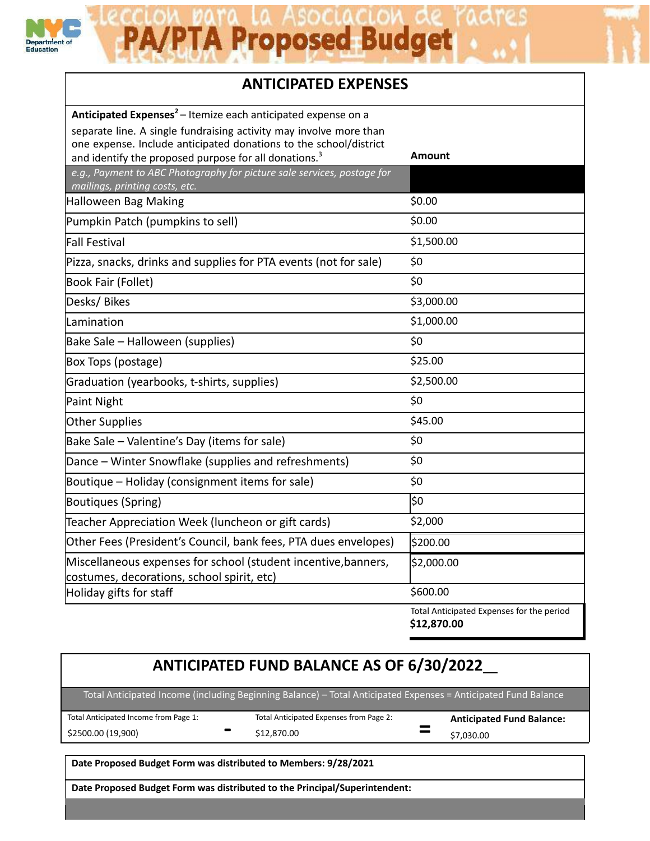

## A/PTA Proposed Budget

## **ANTICIPATED EXPENSES**

| Anticipated Expenses <sup>2</sup> – Itemize each anticipated expense on a                                                              |                                                          |
|----------------------------------------------------------------------------------------------------------------------------------------|----------------------------------------------------------|
| separate line. A single fundraising activity may involve more than                                                                     |                                                          |
| one expense. Include anticipated donations to the school/district<br>and identify the proposed purpose for all donations. <sup>3</sup> | Amount                                                   |
| e.g., Payment to ABC Photography for picture sale services, postage for                                                                |                                                          |
| mailings, printing costs, etc.                                                                                                         |                                                          |
| Halloween Bag Making                                                                                                                   | \$0.00                                                   |
| Pumpkin Patch (pumpkins to sell)                                                                                                       | \$0.00                                                   |
| Fall Festival                                                                                                                          | \$1,500.00                                               |
| Pizza, snacks, drinks and supplies for PTA events (not for sale)                                                                       | \$0                                                      |
| Book Fair (Follet)                                                                                                                     | \$0                                                      |
| Desks/Bikes                                                                                                                            | \$3,000.00                                               |
| Lamination                                                                                                                             | \$1,000.00                                               |
| Bake Sale – Halloween (supplies)                                                                                                       | \$0                                                      |
| Box Tops (postage)                                                                                                                     | \$25.00                                                  |
| Graduation (yearbooks, t-shirts, supplies)                                                                                             | \$2,500.00                                               |
| Paint Night                                                                                                                            | \$0                                                      |
| <b>Other Supplies</b>                                                                                                                  | \$45.00                                                  |
| Bake Sale - Valentine's Day (items for sale)                                                                                           | \$0                                                      |
| Dance - Winter Snowflake (supplies and refreshments)                                                                                   | \$0                                                      |
| Boutique – Holiday (consignment items for sale)                                                                                        | \$0                                                      |
| Boutiques (Spring)                                                                                                                     | \$0                                                      |
| Teacher Appreciation Week (luncheon or gift cards)                                                                                     | \$2,000                                                  |
| Other Fees (President's Council, bank fees, PTA dues envelopes)                                                                        | \$200.00                                                 |
| Miscellaneous expenses for school (student incentive, banners,                                                                         | \$2,000.00                                               |
| costumes, decorations, school spirit, etc)                                                                                             |                                                          |
| Holiday gifts for staff                                                                                                                | \$600.00                                                 |
|                                                                                                                                        | Total Anticipated Expenses for the period<br>\$12,870.00 |

## **ANTICIPATED FUND BALANCE AS OF 6/30/2022** Total Anticipated Income (including Beginning Balance) – Total Anticipated Expenses = Anticipated Fund Balance Total Anticipated Income from Page 1: \$2500.00 (19,900) **-** Total Anticipated Expenses from Page 2: \$12,870.00 **= Anticipated Fund Balance:** \$7,030.00 **Date Proposed Budget Form was distributed to Members: 9/28/2021**

**Date Proposed Budget Form was distributed to the Principal/Superintendent:**